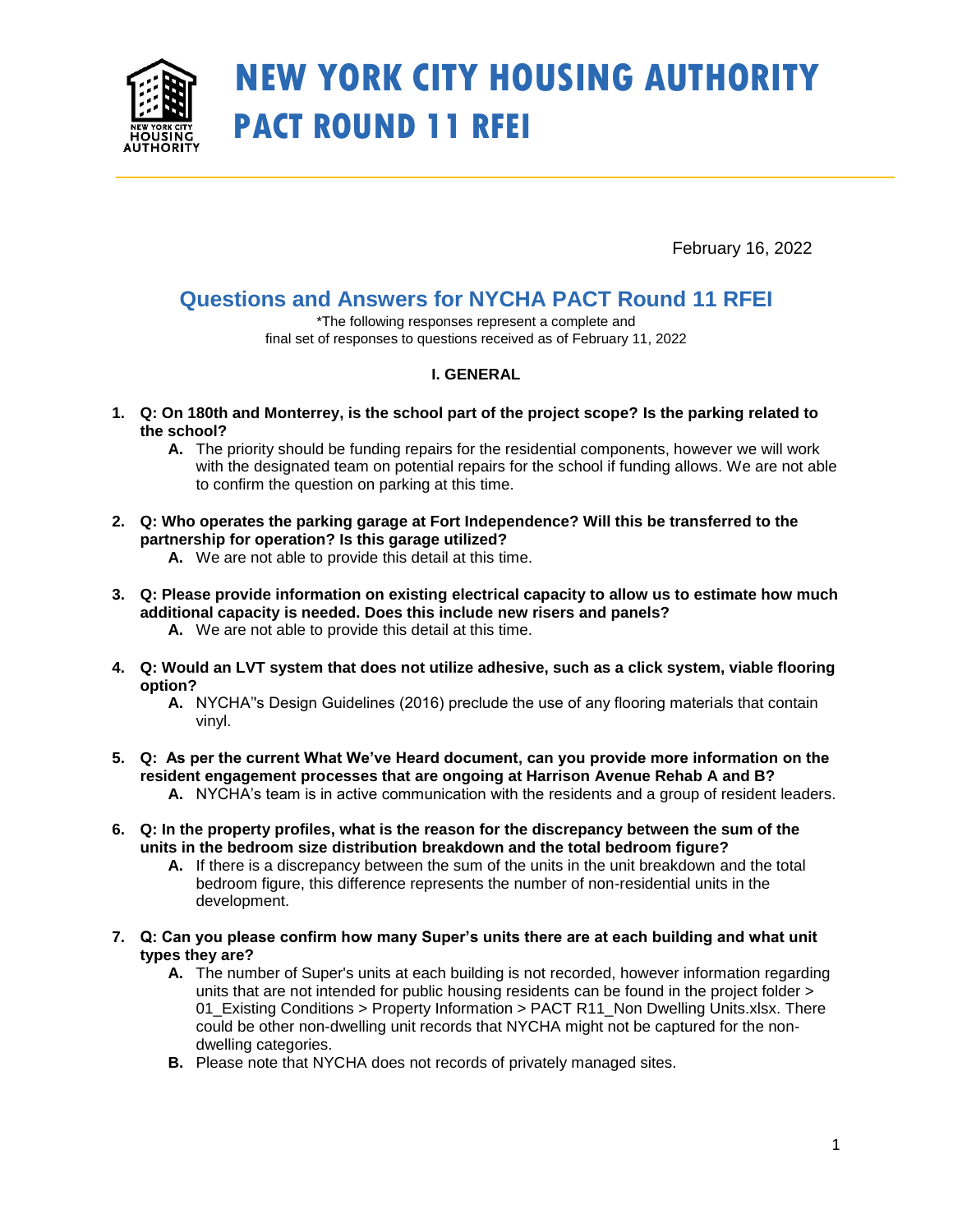

# **NEW YORK CITY HOUSING AUTHORITY PACT ROUND 11 RFEI**

February 16, 2022

# **Questions and Answers for NYCHA PACT Round 11 RFEI**

\*The following responses represent a complete and final set of responses to questions received as of February 11, 2022

# **I. GENERAL**

- **1. Q: On 180th and Monterrey, is the school part of the project scope? Is the parking related to the school?**
	- **A.** The priority should be funding repairs for the residential components, however we will work with the designated team on potential repairs for the school if funding allows. We are not able to confirm the question on parking at this time.
- **2. Q: Who operates the parking garage at Fort Independence? Will this be transferred to the partnership for operation? Is this garage utilized?** 
	- **A.** We are not able to provide this detail at this time.
- **3. Q: Please provide information on existing electrical capacity to allow us to estimate how much additional capacity is needed. Does this include new risers and panels? A.** We are not able to provide this detail at this time.
- **4. Q: Would an LVT system that does not utilize adhesive, such as a click system, viable flooring option?** 
	- **A.** NYCHA''s Design Guidelines (2016) preclude the use of any flooring materials that contain vinyl.
- **5. Q: As per the current What We've Heard document, can you provide more information on the resident engagement processes that are ongoing at Harrison Avenue Rehab A and B?** 
	- **A.** NYCHA's team is in active communication with the residents and a group of resident leaders.
- **6. Q: In the property profiles, what is the reason for the discrepancy between the sum of the units in the bedroom size distribution breakdown and the total bedroom figure?** 
	- A. If there is a discrepancy between the sum of the units in the unit breakdown and the total bedroom figure, this difference represents the number of non-residential units in the development.
- **7. Q: Can you please confirm how many Super's units there are at each building and what unit types they are?** 
	- **A.** The number of Super's units at each building is not recorded, however information regarding units that are not intended for public housing residents can be found in the project folder > 01\_Existing Conditions > Property Information > PACT R11\_Non Dwelling Units.xlsx. There could be other non-dwelling unit records that NYCHA might not be captured for the nondwelling categories.
	- **B.** Please note that NYCHA does not records of privately managed sites.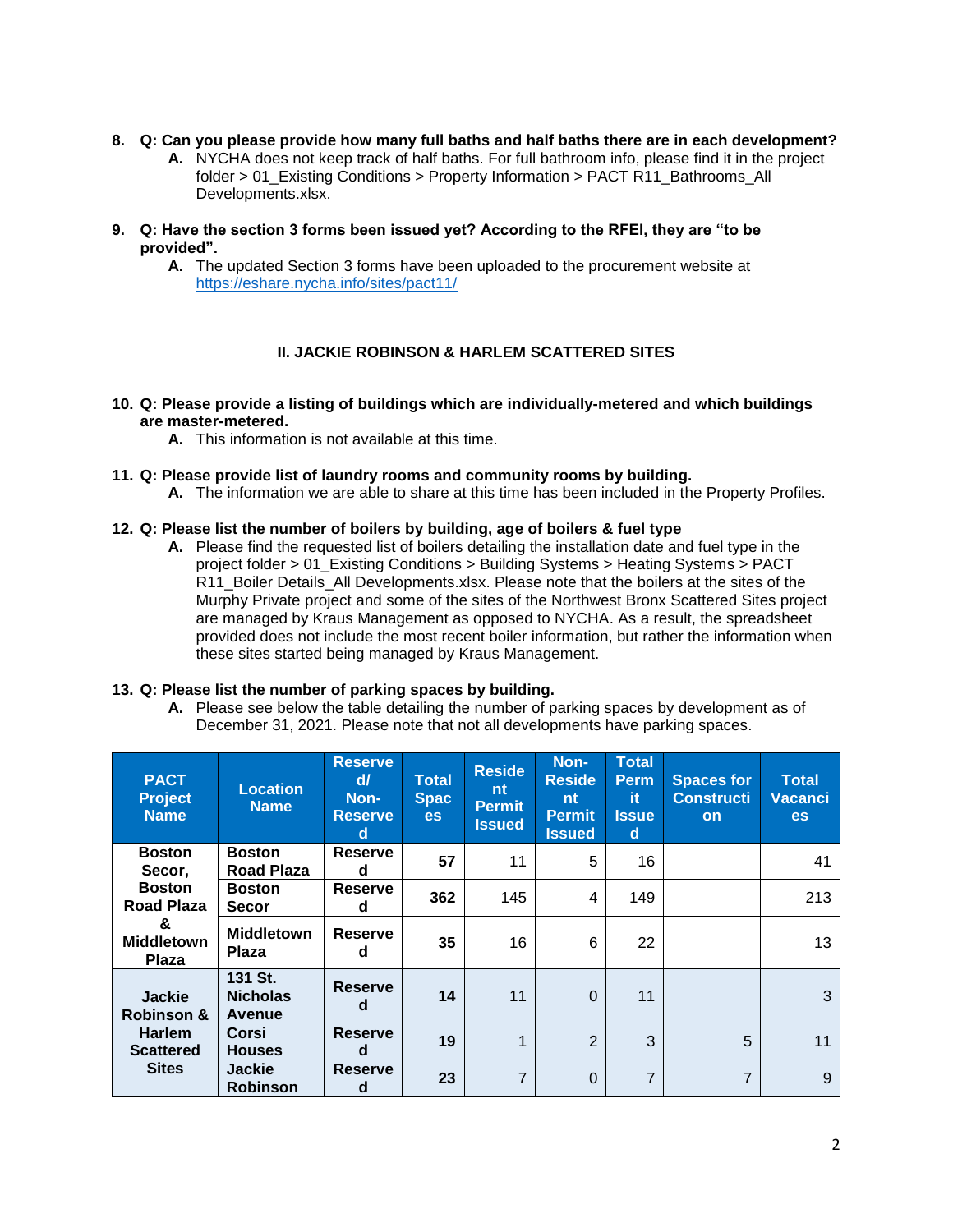#### **8. Q: Can you please provide how many full baths and half baths there are in each development?**

- **A.** NYCHA does not keep track of half baths. For full bathroom info, please find it in the project folder > 01 Existing Conditions > Property Information > PACT R11 Bathrooms All Developments.xlsx.
- **9. Q: Have the section 3 forms been issued yet? According to the RFEI, they are "to be provided".**
	- **A.** The updated Section 3 forms have been uploaded to the procurement website at <https://eshare.nycha.info/sites/pact11/>

# **II. JACKIE ROBINSON & HARLEM SCATTERED SITES**

#### **10. Q: Please provide a listing of buildings which are individually-metered and which buildings are master-metered.**

**A.** This information is not available at this time.

#### **11. Q: Please provide list of laundry rooms and community rooms by building.**

**A.** The information we are able to share at this time has been included in the Property Profiles.

#### **12. Q: Please list the number of boilers by building, age of boilers & fuel type**

**A.** Please find the requested list of boilers detailing the installation date and fuel type in the project folder > 01\_Existing Conditions > Building Systems > Heating Systems > PACT R11\_Boiler Details\_All Developments.xlsx. Please note that the boilers at the sites of the Murphy Private project and some of the sites of the Northwest Bronx Scattered Sites project are managed by Kraus Management as opposed to NYCHA. As a result, the spreadsheet provided does not include the most recent boiler information, but rather the information when these sites started being managed by Kraus Management.

#### **13. Q: Please list the number of parking spaces by building.**

**A.** Please see below the table detailing the number of parking spaces by development as of December 31, 2021. Please note that not all developments have parking spaces.

| <b>PACT</b><br><b>Project</b><br><b>Name</b>                                                            | <b>Location</b><br><b>Name</b>       | <b>Reserve</b><br>$d\ell$<br>Non-<br><b>Reserve</b><br>d | <b>Total</b><br><b>Spac</b><br><b>es</b> | <b>Reside</b><br>nt<br><b>Permit</b><br><b>Issued</b> | Non-<br><b>Reside</b><br>nt<br><b>Permit</b><br><b>Issued</b> | <b>Total</b><br><b>Perm</b><br>it.<br><b>Issue</b><br>d | <b>Spaces for</b><br><b>Constructi</b><br>on | <b>Total</b><br><b>Vacanci</b><br><b>es</b> |
|---------------------------------------------------------------------------------------------------------|--------------------------------------|----------------------------------------------------------|------------------------------------------|-------------------------------------------------------|---------------------------------------------------------------|---------------------------------------------------------|----------------------------------------------|---------------------------------------------|
| <b>Boston</b><br>Secor.<br><b>Boston</b><br><b>Road Plaza</b><br>&<br><b>Middletown</b><br><b>Plaza</b> | <b>Boston</b><br><b>Road Plaza</b>   | <b>Reserve</b><br>d                                      | 57                                       | 11                                                    | 5                                                             | 16                                                      |                                              | 41                                          |
|                                                                                                         | <b>Boston</b><br><b>Secor</b>        | <b>Reserve</b><br>d                                      | 362                                      | 145                                                   | 4                                                             | 149                                                     |                                              | 213                                         |
|                                                                                                         | <b>Middletown</b><br>Plaza           | Reserve<br>d                                             | 35                                       | 16                                                    | 6                                                             | 22                                                      |                                              | 13                                          |
| <b>Jackie</b><br><b>Robinson &amp;</b><br><b>Harlem</b><br><b>Scattered</b><br><b>Sites</b>             | 131 St.<br><b>Nicholas</b><br>Avenue | <b>Reserve</b><br>d                                      | 14                                       | 11                                                    | $\Omega$                                                      | 11                                                      |                                              | 3                                           |
|                                                                                                         | Corsi<br><b>Houses</b>               | <b>Reserve</b><br>d                                      | 19                                       | 1                                                     | $\overline{2}$                                                | 3                                                       | 5                                            | 11                                          |
|                                                                                                         | <b>Jackie</b><br><b>Robinson</b>     | <b>Reserve</b><br>d                                      | 23                                       | $\overline{7}$                                        | $\Omega$                                                      | $\overline{7}$                                          | $\overline{7}$                               | 9                                           |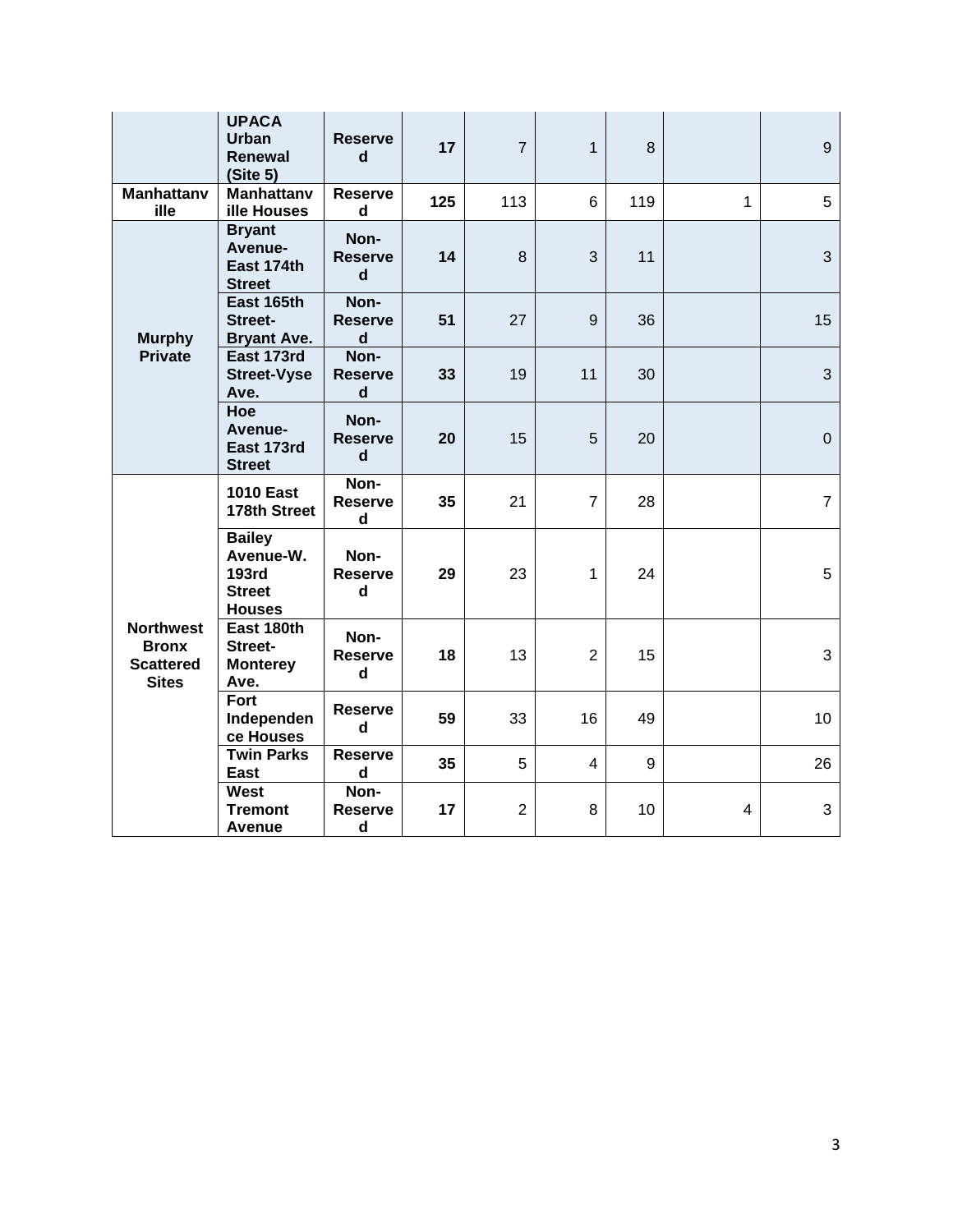|                                                                      | <b>UPACA</b><br><b>Urban</b><br>Renewal<br>(Site 5)                          | <b>Reserve</b><br>d                                   | 17  | $\overline{7}$ | $\mathbf{1}$   | 8   |              | 9              |
|----------------------------------------------------------------------|------------------------------------------------------------------------------|-------------------------------------------------------|-----|----------------|----------------|-----|--------------|----------------|
| <b>Manhattany</b><br>ille                                            | <b>Manhattanv</b><br>ille Houses                                             | <b>Reserve</b><br>d                                   | 125 | 113            | 6              | 119 | $\mathbf{1}$ | 5              |
| <b>Murphy</b><br><b>Private</b>                                      | <b>Bryant</b><br>Avenue-<br>East 174th<br><b>Street</b>                      | Non-<br><b>Reserve</b><br>d                           | 14  | 8              | 3              | 11  |              | 3              |
|                                                                      | East 165th<br>Street-<br><b>Bryant Ave.</b>                                  | Non-<br><b>Reserve</b><br>$\mathsf d$                 | 51  | 27             | 9              | 36  |              | 15             |
|                                                                      | East 173rd<br><b>Street-Vyse</b><br>Ave.                                     | Non-<br><b>Reserve</b><br>d                           | 33  | 19             | 11             | 30  |              | 3              |
|                                                                      | Hoe<br>Avenue-<br>East 173rd<br><b>Street</b>                                | Non-<br><b>Reserve</b><br>$\mathbf d$                 | 20  | 15             | 5              | 20  |              | $\pmb{0}$      |
| <b>Northwest</b><br><b>Bronx</b><br><b>Scattered</b><br><b>Sites</b> | <b>1010 East</b><br>178th Street                                             | Non-<br><b>Reserve</b><br>d                           | 35  | 21             | $\overline{7}$ | 28  |              | $\overline{7}$ |
|                                                                      | <b>Bailey</b><br>Avenue-W.<br><b>193rd</b><br><b>Street</b><br><b>Houses</b> | Non-<br><b>Reserve</b><br>d                           | 29  | 23             | 1              | 24  |              | 5              |
|                                                                      | East 180th<br>Street-<br><b>Monterey</b><br>Ave.                             | Non-<br><b>Reserve</b><br>$\operatorname{\mathsf{d}}$ | 18  | 13             | $\overline{2}$ | 15  |              | 3              |
|                                                                      | Fort<br>Independen<br>ce Houses                                              | <b>Reserve</b><br>$\mathsf{d}$                        | 59  | 33             | 16             | 49  |              | 10             |
|                                                                      | <b>Twin Parks</b><br>East                                                    | <b>Reserve</b><br>d                                   | 35  | 5              | $\overline{4}$ | 9   |              | 26             |
|                                                                      | West<br><b>Tremont</b><br><b>Avenue</b>                                      | Non-<br><b>Reserve</b><br>d                           | 17  | $\overline{c}$ | 8              | 10  | 4            | $\sqrt{3}$     |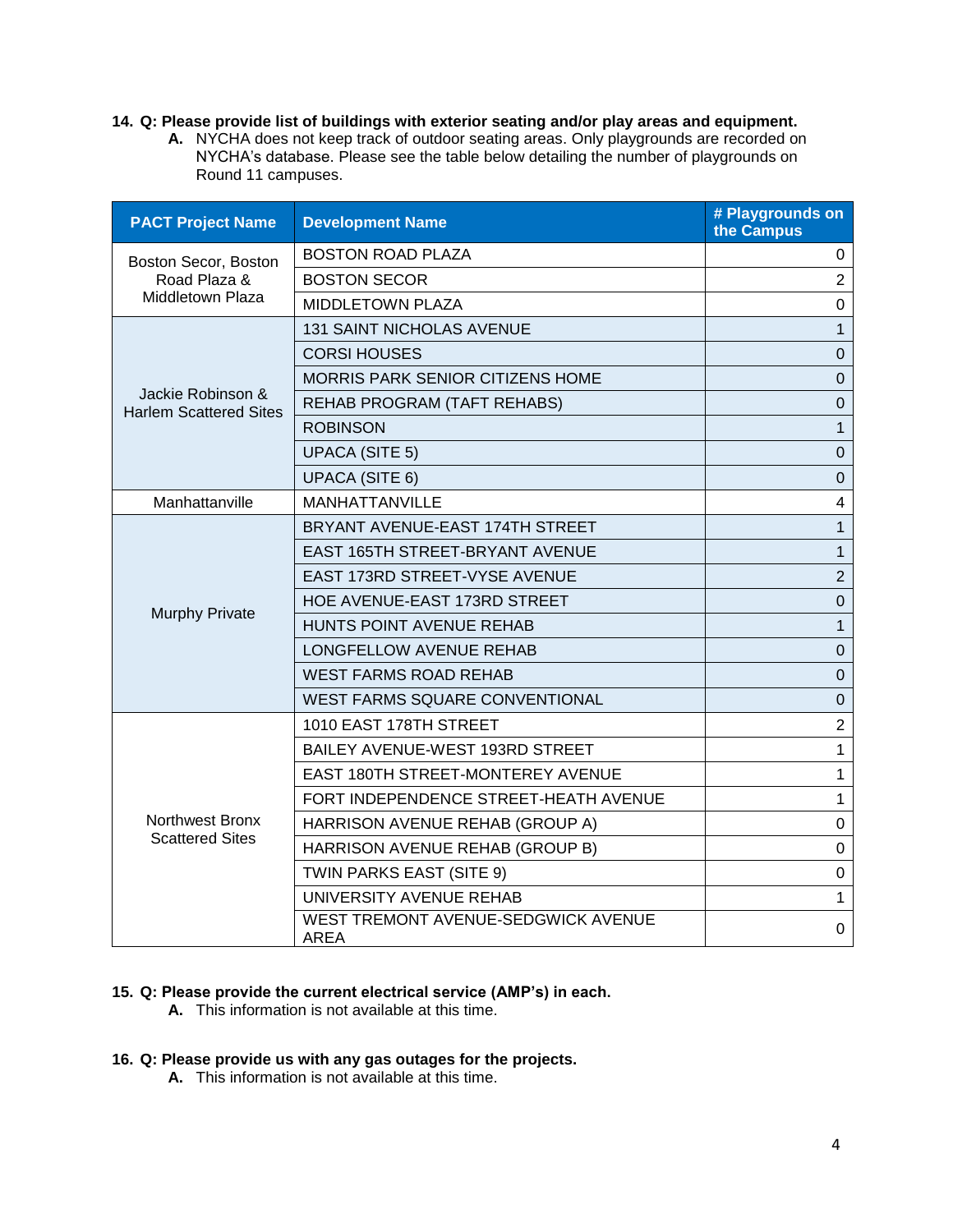# **14. Q: Please provide list of buildings with exterior seating and/or play areas and equipment.**

**A.** NYCHA does not keep track of outdoor seating areas. Only playgrounds are recorded on NYCHA's database. Please see the table below detailing the number of playgrounds on Round 11 campuses.

| <b>PACT Project Name</b>                           | <b>Development Name</b>                            | # Playgrounds on<br>the Campus |
|----------------------------------------------------|----------------------------------------------------|--------------------------------|
| Boston Secor, Boston                               | <b>BOSTON ROAD PLAZA</b>                           | 0                              |
| Road Plaza &                                       | <b>BOSTON SECOR</b>                                | $\overline{2}$                 |
| Middletown Plaza                                   | <b>MIDDLETOWN PLAZA</b>                            | $\mathbf 0$                    |
|                                                    | <b>131 SAINT NICHOLAS AVENUE</b>                   | $\mathbf{1}$                   |
|                                                    | <b>CORSI HOUSES</b>                                | $\mathbf 0$                    |
|                                                    | MORRIS PARK SENIOR CITIZENS HOME                   | $\mathbf{0}$                   |
| Jackie Robinson &<br><b>Harlem Scattered Sites</b> | REHAB PROGRAM (TAFT REHABS)                        | $\mathbf 0$                    |
|                                                    | <b>ROBINSON</b>                                    | $\mathbf{1}$                   |
|                                                    | <b>UPACA (SITE 5)</b>                              | 0                              |
|                                                    | <b>UPACA (SITE 6)</b>                              | $\mathbf 0$                    |
| Manhattanville                                     | MANHATTANVILLE                                     | 4                              |
|                                                    | BRYANT AVENUE-EAST 174TH STREET                    | 1                              |
|                                                    | <b>EAST 165TH STREET-BRYANT AVENUE</b>             | $\mathbf{1}$                   |
|                                                    | <b>EAST 173RD STREET-VYSE AVENUE</b>               | $\sqrt{2}$                     |
|                                                    | HOE AVENUE-EAST 173RD STREET                       | $\mathbf 0$                    |
| <b>Murphy Private</b>                              | HUNTS POINT AVENUE REHAB                           | 1                              |
|                                                    | LONGFELLOW AVENUE REHAB                            | $\Omega$                       |
|                                                    | WEST FARMS ROAD REHAB                              | $\mathbf 0$                    |
|                                                    | WEST FARMS SQUARE CONVENTIONAL                     | $\overline{0}$                 |
|                                                    | 1010 EAST 178TH STREET                             | $\overline{2}$                 |
|                                                    | BAILEY AVENUE-WEST 193RD STREET                    | 1                              |
|                                                    | EAST 180TH STREET-MONTEREY AVENUE                  | 1                              |
|                                                    | FORT INDEPENDENCE STREET-HEATH AVENUE              | $\mathbf{1}$                   |
| <b>Northwest Bronx</b>                             | HARRISON AVENUE REHAB (GROUP A)                    | 0                              |
| <b>Scattered Sites</b>                             | HARRISON AVENUE REHAB (GROUP B)                    | $\mathbf 0$                    |
|                                                    | TWIN PARKS EAST (SITE 9)                           | 0                              |
|                                                    | UNIVERSITY AVENUE REHAB                            | 1                              |
|                                                    | WEST TREMONT AVENUE-SEDGWICK AVENUE<br><b>AREA</b> | 0                              |

#### **15. Q: Please provide the current electrical service (AMP's) in each.**

**A.** This information is not available at this time.

# **16. Q: Please provide us with any gas outages for the projects.**

**A.** This information is not available at this time.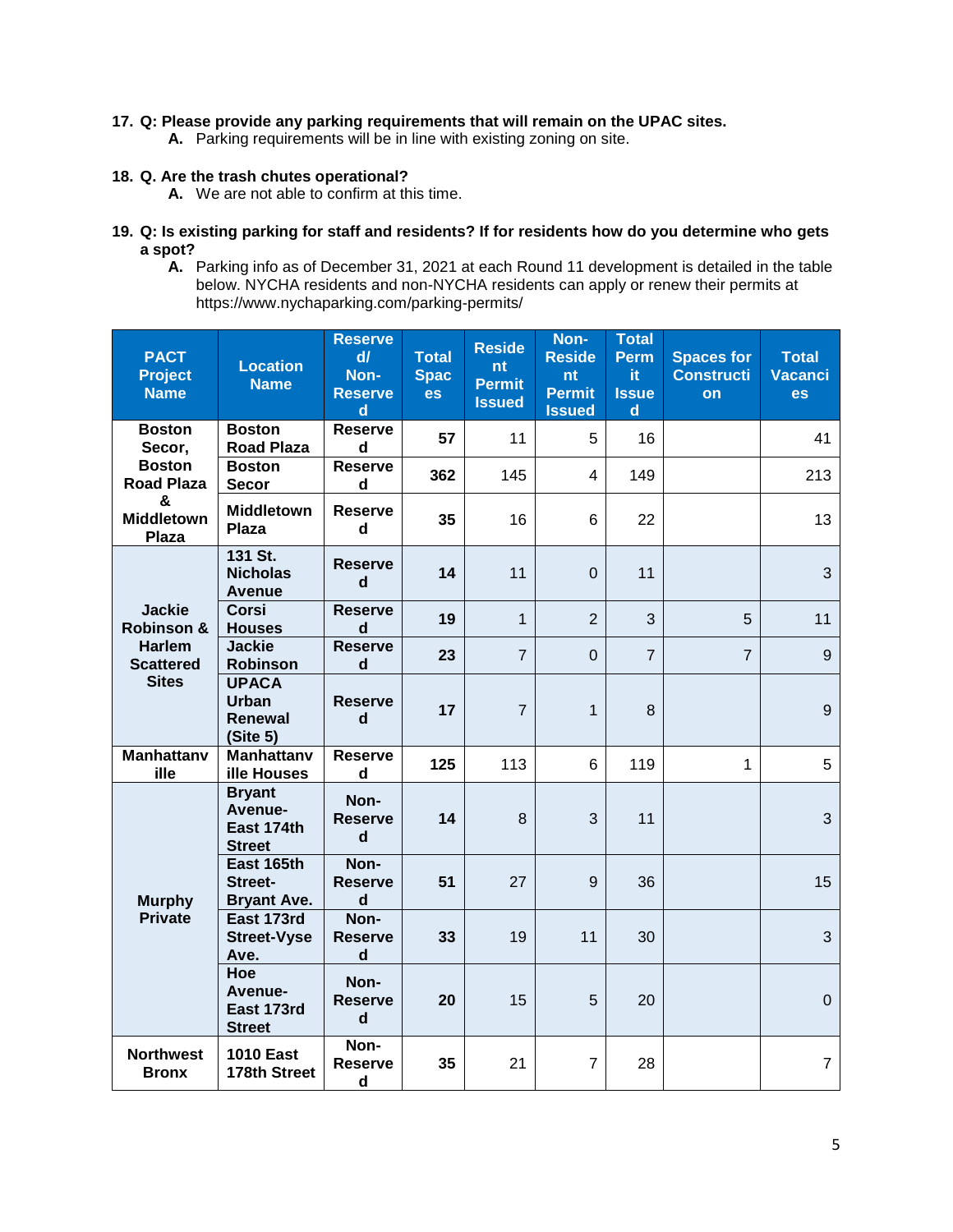#### **17. Q: Please provide any parking requirements that will remain on the UPAC sites.**

**A.** Parking requirements will be in line with existing zoning on site.

# **18. Q. Are the trash chutes operational?**

- **A.** We are not able to confirm at this time.
- **19. Q: Is existing parking for staff and residents? If for residents how do you determine who gets a spot?**
	- **A.** Parking info as of December 31, 2021 at each Round 11 development is detailed in the table below. NYCHA residents and non-NYCHA residents can apply or renew their permits at https://www.nychaparking.com/parking-permits/

| <b>PACT</b><br><b>Project</b><br><b>Name</b>      | <b>Location</b><br><b>Name</b>                      | <b>Reserve</b><br>$d\vec{l}$<br>Non-<br><b>Reserve</b><br>d | <b>Total</b><br><b>Spac</b><br>es | <b>Reside</b><br>nt<br><b>Permit</b><br><b>Issued</b> | Non-<br><b>Reside</b><br>nt<br><b>Permit</b><br><b>Issued</b> | <b>Total</b><br>Perm<br>it.<br><b>Issue</b><br>d | <b>Spaces for</b><br><b>Constructi</b><br><b>on</b> | <b>Total</b><br><b>Vacanci</b><br>es |
|---------------------------------------------------|-----------------------------------------------------|-------------------------------------------------------------|-----------------------------------|-------------------------------------------------------|---------------------------------------------------------------|--------------------------------------------------|-----------------------------------------------------|--------------------------------------|
| <b>Boston</b><br>Secor,                           | <b>Boston</b><br><b>Road Plaza</b>                  | <b>Reserve</b><br>$\mathbf d$                               | 57                                | 11                                                    | 5                                                             | 16                                               |                                                     | 41                                   |
| <b>Boston</b><br><b>Road Plaza</b>                | <b>Boston</b><br><b>Secor</b>                       | <b>Reserve</b><br>$\mathsf{d}$                              | 362                               | 145                                                   | $\overline{4}$                                                | 149                                              |                                                     | 213                                  |
| &<br><b>Middletown</b><br><b>Plaza</b>            | <b>Middletown</b><br>Plaza                          | <b>Reserve</b><br>d                                         | 35                                | 16                                                    | 6                                                             | 22                                               |                                                     | 13                                   |
|                                                   | 131 St.<br><b>Nicholas</b><br><b>Avenue</b>         | <b>Reserve</b><br>d                                         | 14                                | 11                                                    | $\mathbf 0$                                                   | 11                                               |                                                     | 3                                    |
| <b>Jackie</b><br>Robinson &                       | <b>Corsi</b><br><b>Houses</b>                       | <b>Reserve</b><br>$\mathbf d$                               | 19                                | $\mathbf{1}$                                          | $\overline{2}$                                                | 3                                                | 5                                                   | 11                                   |
| <b>Harlem</b><br><b>Scattered</b><br><b>Sites</b> | <b>Jackie</b><br>Robinson                           | <b>Reserve</b><br>d                                         | 23                                | $\overline{7}$                                        | $\mathbf 0$                                                   | $\overline{7}$                                   | $\overline{7}$                                      | 9                                    |
|                                                   | <b>UPACA</b><br><b>Urban</b><br>Renewal<br>(Site 5) | <b>Reserve</b><br>d                                         | 17                                | $\overline{7}$                                        | $\mathbf 1$                                                   | 8                                                |                                                     | $\boldsymbol{9}$                     |
| <b>Manhattanv</b><br>ille                         | <b>Manhattanv</b><br>ille Houses                    | <b>Reserve</b><br>d                                         | 125                               | 113                                                   | 6                                                             | 119                                              | 1                                                   | 5                                    |
| <b>Murphy</b><br><b>Private</b>                   | <b>Bryant</b><br>Avenue-<br>East 174th<br>Street    | Non-<br><b>Reserve</b><br>d                                 | 14                                | 8                                                     | 3                                                             | 11                                               |                                                     | 3                                    |
|                                                   | East 165th<br><b>Street-</b><br><b>Bryant Ave.</b>  | Non-<br><b>Reserve</b><br>d                                 | 51                                | 27                                                    | 9                                                             | 36                                               |                                                     | 15                                   |
|                                                   | East 173rd<br><b>Street-Vyse</b><br>Ave.            | Non-<br><b>Reserve</b><br>$\mathbf d$                       | 33                                | 19                                                    | 11                                                            | 30                                               |                                                     | 3                                    |
|                                                   | Hoe<br>Avenue-<br>East 173rd<br><b>Street</b>       | Non-<br><b>Reserve</b><br>$\mathsf{d}$                      | 20                                | 15                                                    | 5                                                             | 20                                               |                                                     | $\mathbf 0$                          |
| <b>Northwest</b><br><b>Bronx</b>                  | <b>1010 East</b><br>178th Street                    | Non-<br><b>Reserve</b><br>d                                 | 35                                | 21                                                    | $\overline{7}$                                                | 28                                               |                                                     | $\overline{7}$                       |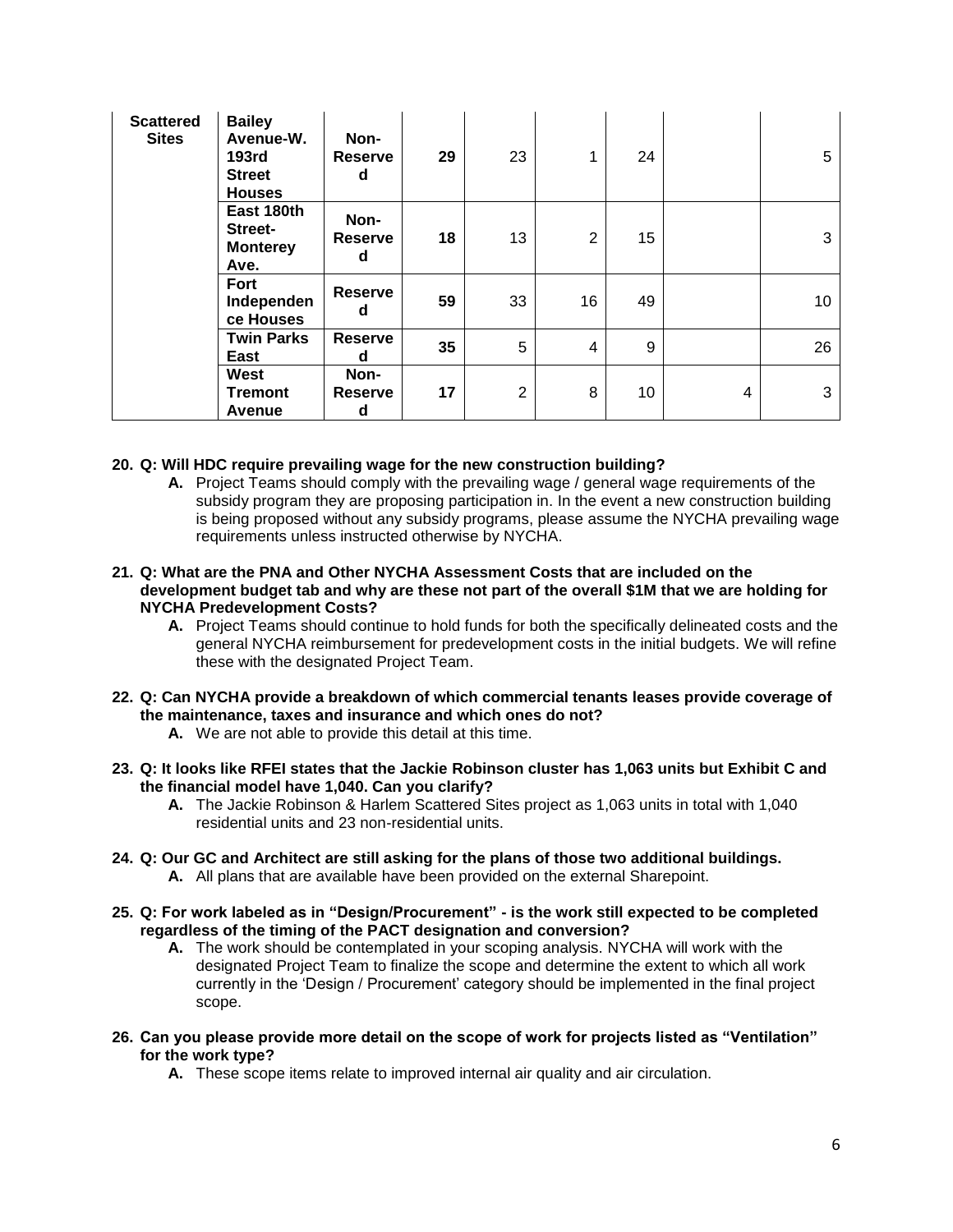| <b>Scattered</b><br><b>Sites</b> | <b>Bailey</b><br>Avenue-W.<br><b>193rd</b><br><b>Street</b><br><b>Houses</b> | Non-<br><b>Reserve</b><br>d | 29 | 23 |                | 24 |   | 5  |
|----------------------------------|------------------------------------------------------------------------------|-----------------------------|----|----|----------------|----|---|----|
|                                  | East 180th<br>Street-<br><b>Monterey</b><br>Ave.                             | Non-<br><b>Reserve</b><br>d | 18 | 13 | $\overline{2}$ | 15 |   | 3  |
|                                  | Fort<br>Independen<br>ce Houses                                              | <b>Reserve</b><br>d         | 59 | 33 | 16             | 49 |   | 10 |
|                                  | <b>Twin Parks</b><br>East                                                    | <b>Reserve</b><br>d         | 35 | 5  | 4              | 9  |   | 26 |
|                                  | West<br><b>Tremont</b><br>Avenue                                             | Non-<br><b>Reserve</b><br>d | 17 | 2  | 8              | 10 | 4 | 3  |

#### **20. Q: Will HDC require prevailing wage for the new construction building?**

**A.** Project Teams should comply with the prevailing wage / general wage requirements of the subsidy program they are proposing participation in. In the event a new construction building is being proposed without any subsidy programs, please assume the NYCHA prevailing wage requirements unless instructed otherwise by NYCHA.

#### **21. Q: What are the PNA and Other NYCHA Assessment Costs that are included on the development budget tab and why are these not part of the overall \$1M that we are holding for NYCHA Predevelopment Costs?**

- **A.** Project Teams should continue to hold funds for both the specifically delineated costs and the general NYCHA reimbursement for predevelopment costs in the initial budgets. We will refine these with the designated Project Team.
- **22. Q: Can NYCHA provide a breakdown of which commercial tenants leases provide coverage of the maintenance, taxes and insurance and which ones do not?**
	- **A.** We are not able to provide this detail at this time.
- **23. Q: It looks like RFEI states that the Jackie Robinson cluster has 1,063 units but Exhibit C and the financial model have 1,040. Can you clarify?**
	- **A.** The Jackie Robinson & Harlem Scattered Sites project as 1,063 units in total with 1,040 residential units and 23 non-residential units.
- **24. Q: Our GC and Architect are still asking for the plans of those two additional buildings. A.** All plans that are available have been provided on the external Sharepoint.
- **25. Q: For work labeled as in "Design/Procurement" - is the work still expected to be completed regardless of the timing of the PACT designation and conversion?**
	- **A.** The work should be contemplated in your scoping analysis. NYCHA will work with the designated Project Team to finalize the scope and determine the extent to which all work currently in the 'Design / Procurement' category should be implemented in the final project scope.
- **26. Can you please provide more detail on the scope of work for projects listed as "Ventilation" for the work type?**
	- **A.** These scope items relate to improved internal air quality and air circulation.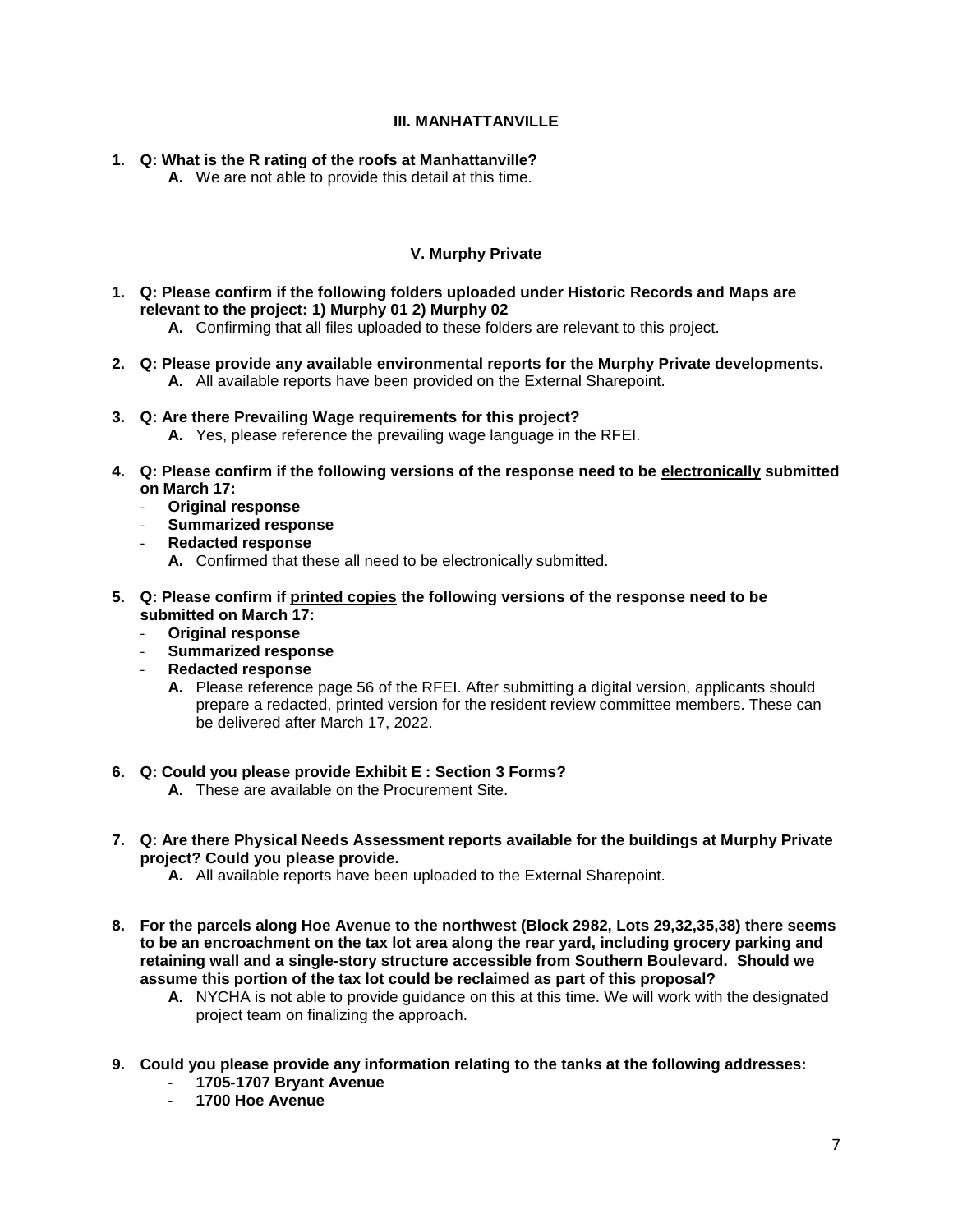#### **III. MANHATTANVILLE**

- **1. Q: What is the R rating of the roofs at Manhattanville?** 
	- **A.** We are not able to provide this detail at this time.

### **V. Murphy Private**

- **1. Q: Please confirm if the following folders uploaded under Historic Records and Maps are relevant to the project: 1) Murphy 01 2) Murphy 02**
	- **A.** Confirming that all files uploaded to these folders are relevant to this project.
- **2. Q: Please provide any available environmental reports for the Murphy Private developments. A.** All available reports have been provided on the External Sharepoint.
- **3. Q: Are there Prevailing Wage requirements for this project? A.** Yes, please reference the prevailing wage language in the RFEI.
- **4. Q: Please confirm if the following versions of the response need to be electronically submitted on March 17:**
	- **Original response**
	- **Summarized response**
	- **Redacted response**
		- **A.** Confirmed that these all need to be electronically submitted.
- **5. Q: Please confirm if printed copies the following versions of the response need to be submitted on March 17:**
	- **Original response**
	- **Summarized response**
	- **Redacted response**
		- **A.** Please reference page 56 of the RFEI. After submitting a digital version, applicants should prepare a redacted, printed version for the resident review committee members. These can be delivered after March 17, 2022.
- **6. Q: Could you please provide Exhibit E : Section 3 Forms?**
	- **A.** These are available on the Procurement Site.
- **7. Q: Are there Physical Needs Assessment reports available for the buildings at Murphy Private project? Could you please provide.** 
	- **A.** All available reports have been uploaded to the External Sharepoint.
- **8. For the parcels along Hoe Avenue to the northwest (Block 2982, Lots 29,32,35,38) there seems to be an encroachment on the tax lot area along the rear yard, including grocery parking and retaining wall and a single-story structure accessible from Southern Boulevard. Should we assume this portion of the tax lot could be reclaimed as part of this proposal?**
	- **A.** NYCHA is not able to provide guidance on this at this time. We will work with the designated project team on finalizing the approach.
- **9. Could you please provide any information relating to the tanks at the following addresses:** 
	- **1705-1707 Bryant Avenue**
	- **1700 Hoe Avenue**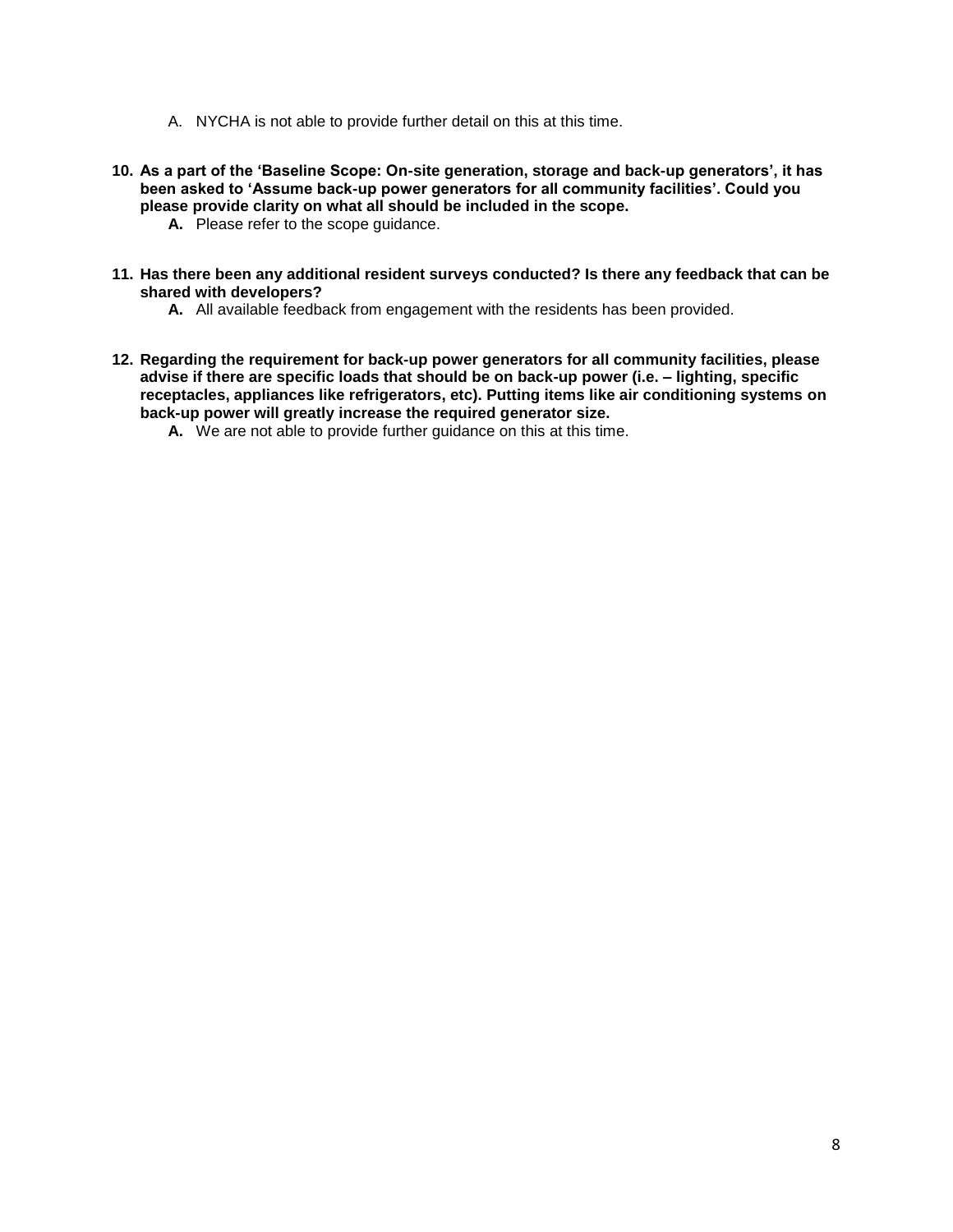- A. NYCHA is not able to provide further detail on this at this time.
- **10. As a part of the 'Baseline Scope: On-site generation, storage and back-up generators', it has been asked to 'Assume back-up power generators for all community facilities'. Could you please provide clarity on what all should be included in the scope.** 
	- **A.** Please refer to the scope guidance.
- **11. Has there been any additional resident surveys conducted? Is there any feedback that can be shared with developers?**
	- **A.** All available feedback from engagement with the residents has been provided.
- **12. Regarding the requirement for back-up power generators for all community facilities, please advise if there are specific loads that should be on back-up power (i.e. – lighting, specific receptacles, appliances like refrigerators, etc). Putting items like air conditioning systems on back-up power will greatly increase the required generator size.** 
	- **A.** We are not able to provide further guidance on this at this time.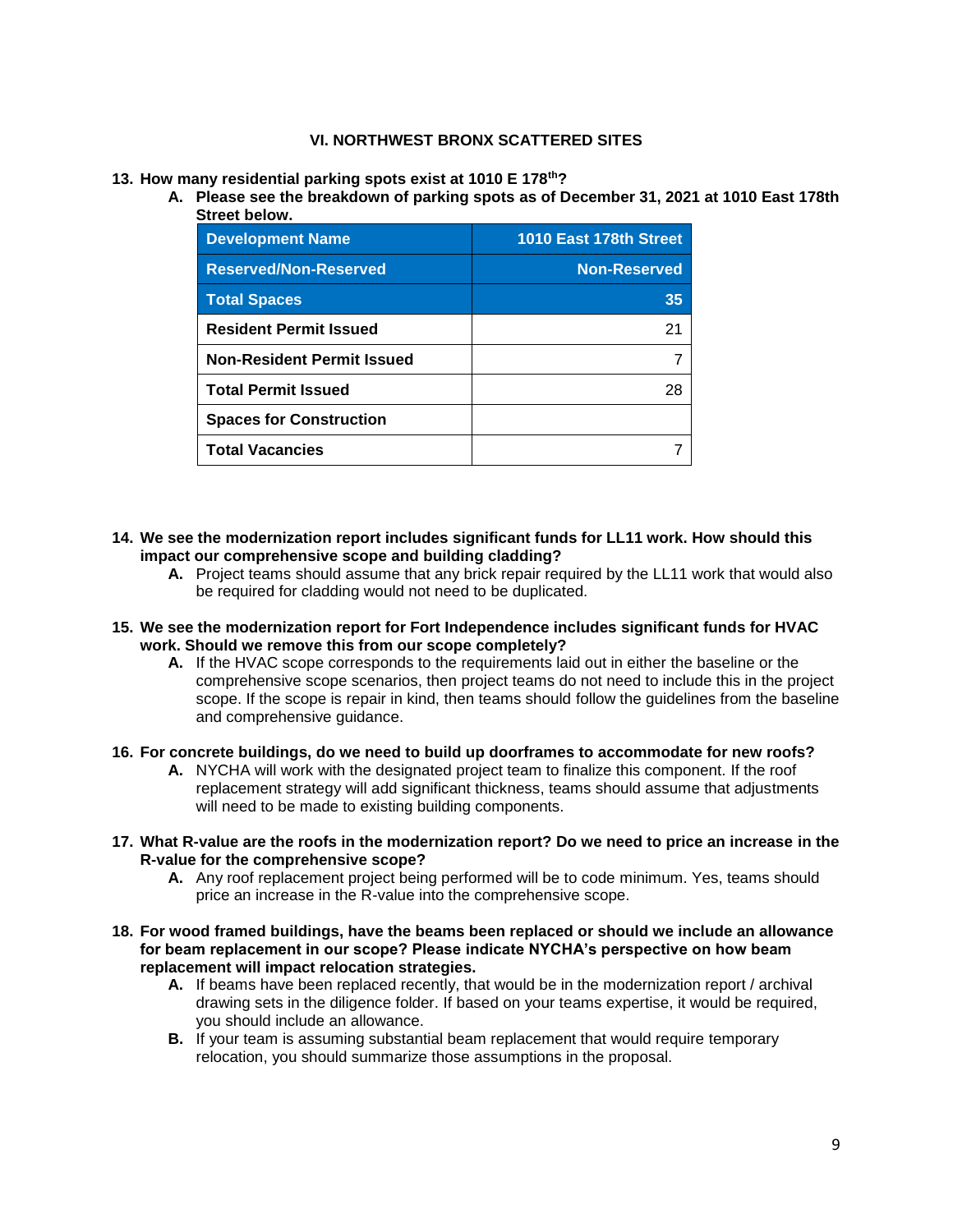#### **VI. NORTHWEST BRONX SCATTERED SITES**

- **13. How many residential parking spots exist at 1010 E 178th?**
	- **A. Please see the breakdown of parking spots as of December 31, 2021 at 1010 East 178th Street below.**

| <b>Development Name</b>           | 1010 East 178th Street |
|-----------------------------------|------------------------|
| <b>Reserved/Non-Reserved</b>      | <b>Non-Reserved</b>    |
| <b>Total Spaces</b>               | 35                     |
| <b>Resident Permit Issued</b>     | 21                     |
| <b>Non-Resident Permit Issued</b> |                        |
| <b>Total Permit Issued</b>        | 28                     |
| <b>Spaces for Construction</b>    |                        |
| <b>Total Vacancies</b>            |                        |

- **14. We see the modernization report includes significant funds for LL11 work. How should this impact our comprehensive scope and building cladding?** 
	- **A.** Project teams should assume that any brick repair required by the LL11 work that would also be required for cladding would not need to be duplicated.
- **15. We see the modernization report for Fort Independence includes significant funds for HVAC work. Should we remove this from our scope completely?** 
	- **A.** If the HVAC scope corresponds to the requirements laid out in either the baseline or the comprehensive scope scenarios, then project teams do not need to include this in the project scope. If the scope is repair in kind, then teams should follow the guidelines from the baseline and comprehensive guidance.
- **16. For concrete buildings, do we need to build up doorframes to accommodate for new roofs?**
	- **A.** NYCHA will work with the designated project team to finalize this component. If the roof replacement strategy will add significant thickness, teams should assume that adjustments will need to be made to existing building components.
- **17. What R-value are the roofs in the modernization report? Do we need to price an increase in the R-value for the comprehensive scope?** 
	- **A.** Any roof replacement project being performed will be to code minimum. Yes, teams should price an increase in the R-value into the comprehensive scope.
- **18. For wood framed buildings, have the beams been replaced or should we include an allowance for beam replacement in our scope? Please indicate NYCHA's perspective on how beam replacement will impact relocation strategies.** 
	- **A.** If beams have been replaced recently, that would be in the modernization report / archival drawing sets in the diligence folder. If based on your teams expertise, it would be required, you should include an allowance.
	- **B.** If your team is assuming substantial beam replacement that would require temporary relocation, you should summarize those assumptions in the proposal.